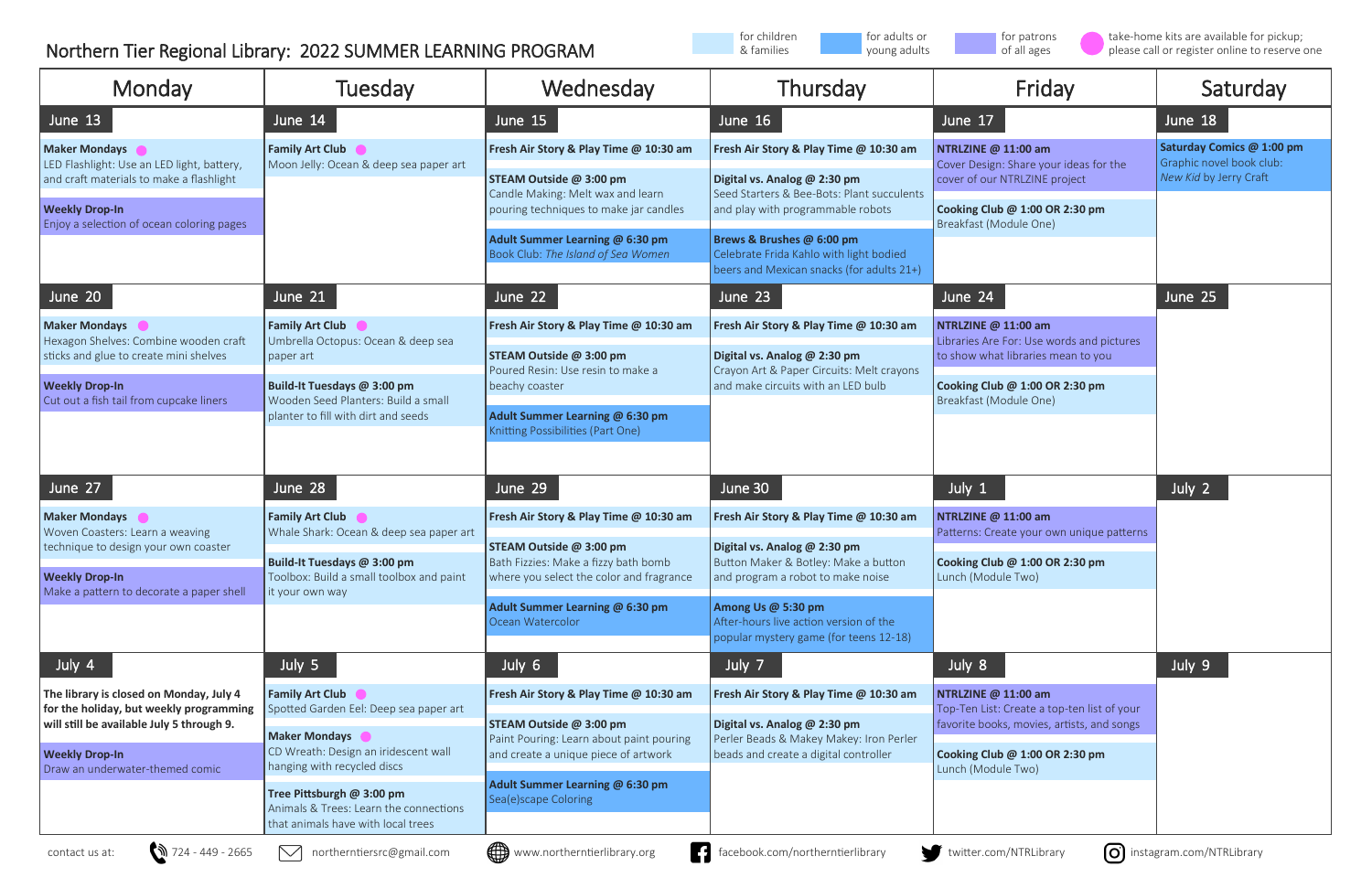| Monday                                                                                                                                  | Tuesday                                                                                                                | Wednesday                                                                                                                                              | Thursday                                                                                                                                                   | Friday                                                                                                                           | Saturday                                                                        |
|-----------------------------------------------------------------------------------------------------------------------------------------|------------------------------------------------------------------------------------------------------------------------|--------------------------------------------------------------------------------------------------------------------------------------------------------|------------------------------------------------------------------------------------------------------------------------------------------------------------|----------------------------------------------------------------------------------------------------------------------------------|---------------------------------------------------------------------------------|
| June 13                                                                                                                                 | June 14                                                                                                                | June 15                                                                                                                                                | June $16$                                                                                                                                                  | June 17                                                                                                                          | June 18                                                                         |
| <b>Maker Mondays</b><br>LED Flashlight: Use an LED light, battery,<br>and craft materials to make a flashlight<br><b>Weekly Drop-In</b> | <b>Family Art Club</b><br>Moon Jelly: Ocean & deep sea paper art                                                       | Fresh Air Story & Play Time @ 10:30 am                                                                                                                 | Fresh Air Story & Play Time @ 10:30 am                                                                                                                     | NTRLZINE @ 11:00 am<br>Cover Design: Share your ideas for the<br>cover of our NTRLZINE project<br>Cooking Club @ 1:00 OR 2:30 pm | Saturday Comics @ 1:00 pm<br>Graphic novel book club:<br>New Kid by Jerry Craft |
|                                                                                                                                         |                                                                                                                        | STEAM Outside @ 3:00 pm<br>Candle Making: Melt wax and learn<br>pouring techniques to make jar candles                                                 | Digital vs. Analog @ 2:30 pm<br>Seed Starters & Bee-Bots: Plant succulents<br>and play with programmable robots                                            |                                                                                                                                  |                                                                                 |
| Enjoy a selection of ocean coloring pages                                                                                               |                                                                                                                        | Adult Summer Learning @ 6:30 pm<br>Book Club: The Island of Sea Women                                                                                  | Brews & Brushes @ 6:00 pm<br>Celebrate Frida Kahlo with light bodied<br>beers and Mexican snacks (for adults 21+)                                          | Breakfast (Module One)                                                                                                           |                                                                                 |
| June 20                                                                                                                                 | June 21                                                                                                                | June 22                                                                                                                                                | June 23                                                                                                                                                    | June 24                                                                                                                          | June 25                                                                         |
| <b>Maker Mondays</b><br>Hexagon Shelves: Combine wooden craft                                                                           | <b>Family Art Club</b><br>Umbrella Octopus: Ocean & deep sea                                                           | Fresh Air Story & Play Time @ 10:30 am                                                                                                                 | Fresh Air Story & Play Time @ 10:30 am                                                                                                                     | NTRLZINE @ 11:00 am<br>Libraries Are For: Use words and pictures                                                                 |                                                                                 |
| sticks and glue to create mini shelves<br><b>Weekly Drop-In</b><br>Cut out a fish tail from cupcake liners                              | paper art<br>Build-It Tuesdays @ 3:00 pm<br>Wooden Seed Planters: Build a small<br>planter to fill with dirt and seeds | STEAM Outside @ 3:00 pm<br>Poured Resin: Use resin to make a<br>beachy coaster<br>Adult Summer Learning @ 6:30 pm<br>Knitting Possibilities (Part One) | Digital vs. Analog @ 2:30 pm<br>Crayon Art & Paper Circuits: Melt crayons<br>and make circuits with an LED bulb                                            | to show what libraries mean to you<br>Cooking Club @ 1:00 OR 2:30 pm<br>Breakfast (Module One)                                   |                                                                                 |
| June 27                                                                                                                                 | June 28                                                                                                                | June 29                                                                                                                                                | June 30                                                                                                                                                    | July 1                                                                                                                           | July 2                                                                          |
| <b>Maker Mondays</b><br>Woven Coasters: Learn a weaving<br>technique to design your own coaster                                         | <b>Family Art Club</b><br>Whale Shark: Ocean & deep sea paper art<br><b>Build-It Tuesdays @ 3:00 pm</b>                | Fresh Air Story & Play Time @ 10:30 am<br>STEAM Outside @ 3:00 pm<br>Bath Fizzies: Make a fizzy bath bomb                                              | Fresh Air Story & Play Time @ 10:30 am<br>Digital vs. Analog @ 2:30 pm<br>Button Maker & Botley: Make a button                                             | NTRLZINE @ 11:00 am<br>Patterns: Create your own unique patterns<br>Cooking Club @ 1:00 OR 2:30 pm                               |                                                                                 |
| <b>Weekly Drop-In</b><br>Make a pattern to decorate a paper shell                                                                       | Toolbox: Build a small toolbox and paint<br>it your own way                                                            | where you select the color and fragrance<br>Adult Summer Learning @ 6:30 pm<br>Ocean Watercolor                                                        | and program a robot to make noise<br>Among Us @ 5:30 pm<br>After-hours live action version of the<br>popular mystery game (for teens 12-18)                | Lunch (Module Two)                                                                                                               |                                                                                 |
| July 4                                                                                                                                  | July 5                                                                                                                 | July 6                                                                                                                                                 | July 7                                                                                                                                                     | July 8                                                                                                                           | July 9                                                                          |
| The library is closed on Monday, July 4<br>for the holiday, but weekly programming<br>will still be available July 5 through 9.         | <b>Family Art Club</b><br>Spotted Garden Eel: Deep sea paper art                                                       | Fresh Air Story & Play Time @ 10:30 am<br>STEAM Outside @ 3:00 pm                                                                                      | Fresh Air Story & Play Time @ 10:30 am<br>Digital vs. Analog @ 2:30 pm<br>Perler Beads & Makey Makey: Iron Perler<br>beads and create a digital controller | NTRLZINE @ 11:00 am<br>Top-Ten List: Create a top-ten list of your<br>favorite books, movies, artists, and songs                 |                                                                                 |
| <b>Weekly Drop-In</b><br>Draw an underwater-themed comic                                                                                | <b>Maker Mondays</b><br>CD Wreath: Design an iridescent wall<br>hanging with recycled discs                            | Paint Pouring: Learn about paint pouring<br>and create a unique piece of artwork                                                                       |                                                                                                                                                            | Cooking Club @ 1:00 OR 2:30 pm<br>Lunch (Module Two)                                                                             |                                                                                 |
|                                                                                                                                         | Tree Pittsburgh @ 3:00 pm<br>Animals & Trees: Learn the connections<br>that animals have with local trees              | Adult Summer Learning @ 6:30 pm<br>Sea(e)scape Coloring                                                                                                |                                                                                                                                                            |                                                                                                                                  |                                                                                 |
| $324 - 449 - 2665$<br>contact us at:                                                                                                    | $\smash{\vee}$<br>northerntiersrc@gmail.com                                                                            | (∰<br>H<br>www.northerntierlibrary.org                                                                                                                 | facebook.com/northerntierlibrary                                                                                                                           | [O]<br>twitter.com/NTRLibrary                                                                                                    | instagram.com/NTRLibrary                                                        |





## Northern Tier Regional Library: 2022 SUMMER LEARNING PROGRAM